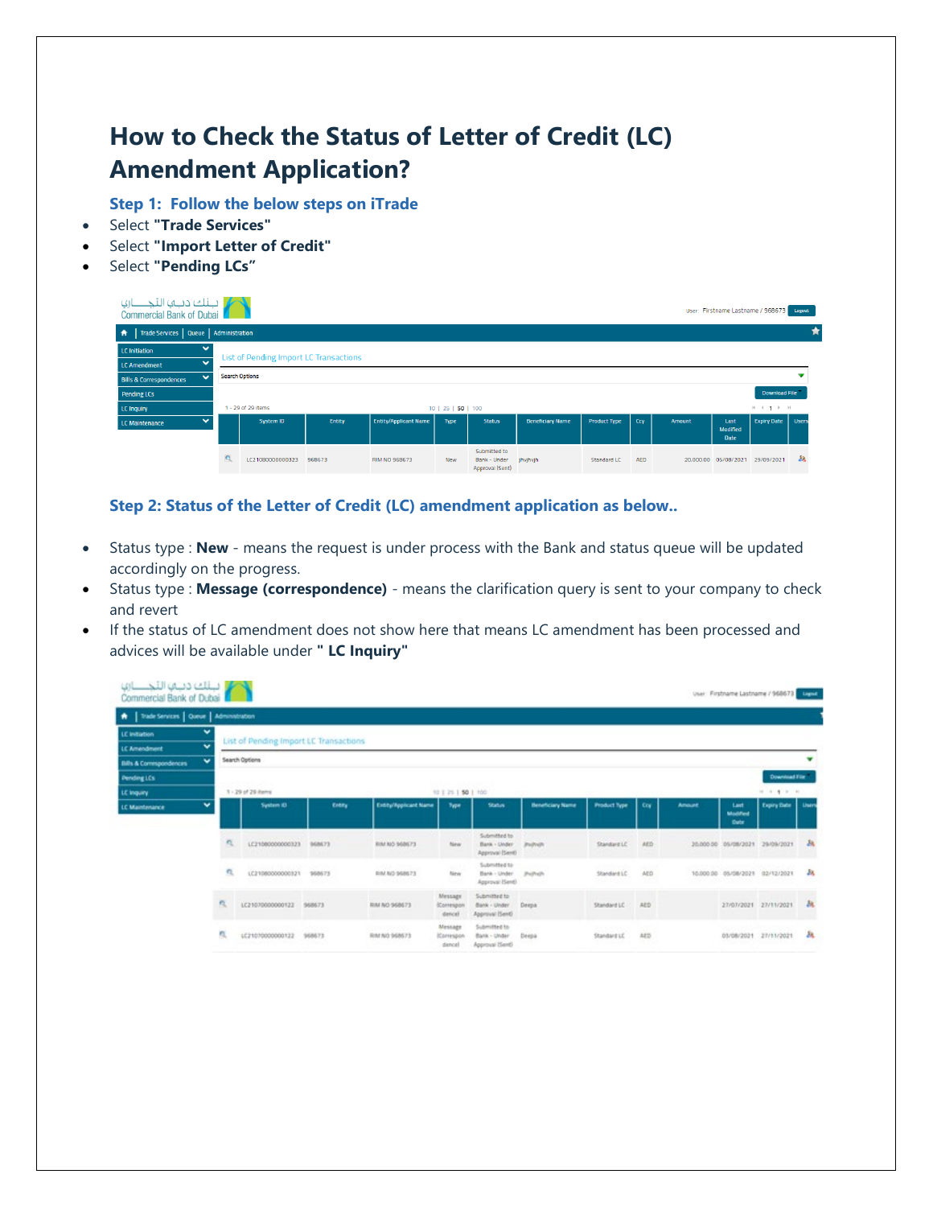## **How to Check the Status of Letter of Credit (LC) Amendment Application?**

**Step 1: Follow the below steps on iTrade**

- Select **"Trade Services"**
- Select **"Import Letter of Credit"**
- Select **"Pending LCs"**

| ار البلك دباها التجنب الها<br>Commercial Bank of Dubai |   |                                        |        |                              |                    |                                                       |                         |                     |            |               |                                        | User: Firstname Lastname / 968673 Logout |              |
|--------------------------------------------------------|---|----------------------------------------|--------|------------------------------|--------------------|-------------------------------------------------------|-------------------------|---------------------|------------|---------------|----------------------------------------|------------------------------------------|--------------|
| Trade Services   Queue   Administration<br>青           |   |                                        |        |                              |                    |                                                       |                         |                     |            |               |                                        |                                          |              |
| $\checkmark$<br><b>LC</b> Initiation                   |   | List of Pending Import LC Transactions |        |                              |                    |                                                       |                         |                     |            |               |                                        |                                          |              |
| $\bullet$<br>LC Amendment                              |   |                                        |        |                              |                    |                                                       |                         |                     |            |               |                                        |                                          |              |
| $\checkmark$<br><b>Bills &amp; Correspondences</b>     |   | <b>Search Options</b>                  |        |                              |                    |                                                       |                         |                     |            |               |                                        |                                          |              |
| <b>Pending LCs</b>                                     |   |                                        |        |                              |                    |                                                       |                         |                     |            |               |                                        | <b>Download File</b>                     |              |
| LC Inquiry                                             |   | 1 - 29 of 29 items                     |        |                              | 10   25   50   100 |                                                       |                         |                     |            |               |                                        | $H = 4$ <b>1</b> $F = H$                 |              |
| $\ddot{}$<br>LC Maintenance                            |   | System ID                              | Entity | <b>Entity/Applicant Name</b> | Type               | <b>Status</b>                                         | <b>Beneficiary Name</b> | <b>Product Type</b> | Ccv        | <b>Amount</b> | Last<br><b>Modified</b><br><b>Date</b> | <b>Expiry Date</b>                       | <b>Users</b> |
|                                                        | Q | LC21080000000323                       | 968673 | RIM NO 968673                | <b>New</b>         | Submitted to<br><b>Bank - Under</b><br>Annoual (Sent) | jhvjhvjh                | <b>Standard LC</b>  | <b>AED</b> |               | 20,000.00 05/08/2021                   | 29/09/2021                               | å8           |

## **Step 2: Status of the Letter of Credit (LC) amendment application as below..**

- Status type : **New** means the request is under process with the Bank and status queue will be updated accordingly on the progress.
- Status type : **Message (correspondence)** means the clarification query is sent to your company to check and revert
- If the status of LC amendment does not show here that means LC amendment has been processed and advices will be available under **" LC Inquiry"**

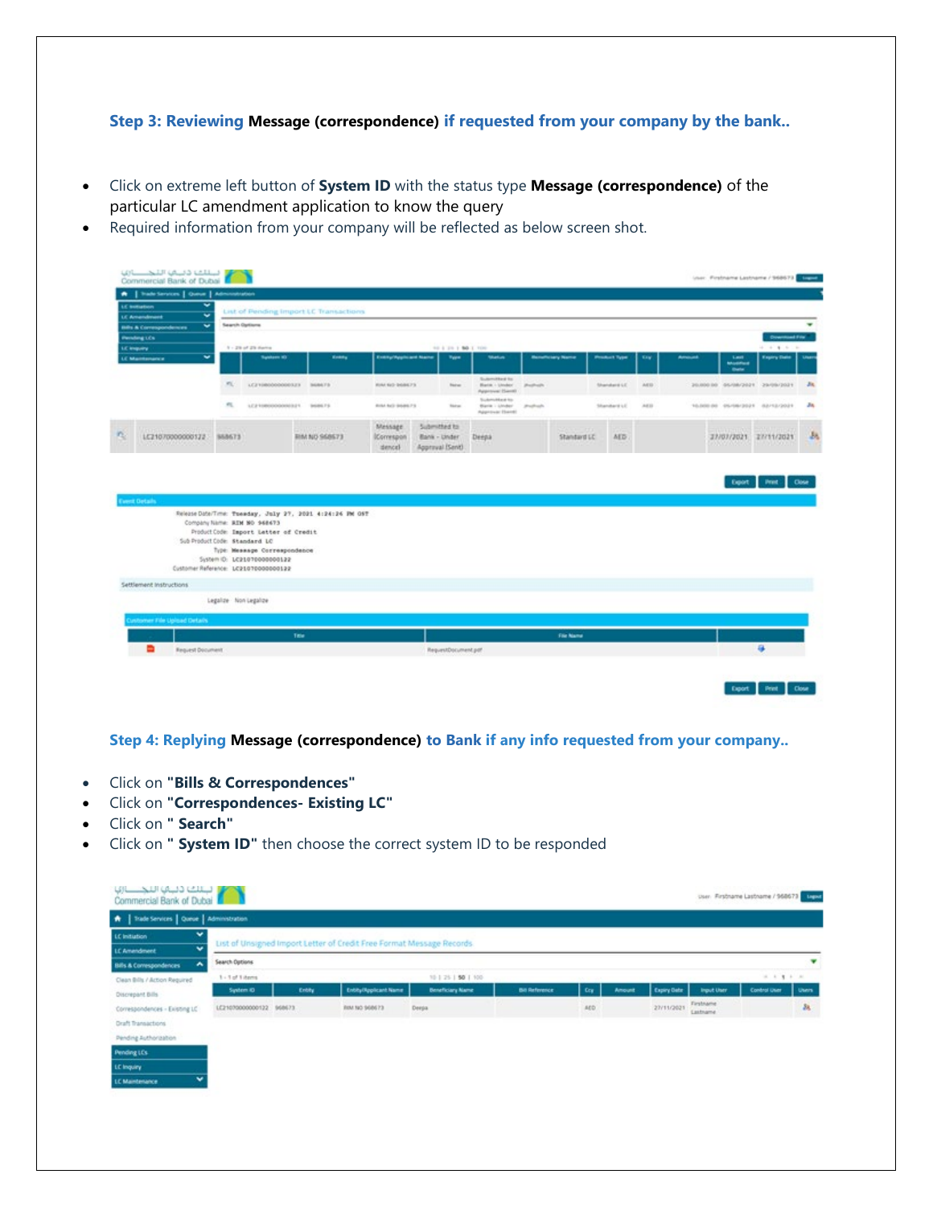## **Step 3: Reviewing Message (correspondence) if requested from your company by the bank..**

- Click on extreme left button of **System ID** with the status type **Message (correspondence)** of the particular LC amendment application to know the query
- Required information from your company will be reflected as below screen shot.

| w<br><b>LE bottation</b><br>v<br>LC Amendment                  | $\frac{1}{2}$         | List of Pending Import LC Transactions                                                                                                                                                                                                 |                                     |                              |                                  |                                                      |                |                        |                     |            |               |                                                 |                                      |       |
|----------------------------------------------------------------|-----------------------|----------------------------------------------------------------------------------------------------------------------------------------------------------------------------------------------------------------------------------------|-------------------------------------|------------------------------|----------------------------------|------------------------------------------------------|----------------|------------------------|---------------------|------------|---------------|-------------------------------------------------|--------------------------------------|-------|
| $\overline{\phantom{a}}$<br><b>Bills &amp; Correspondences</b> | <b>Search Options</b> |                                                                                                                                                                                                                                        |                                     |                              |                                  |                                                      |                |                        |                     |            |               |                                                 |                                      |       |
| Persing LCs                                                    |                       | 5 - 29 of 29 Awres                                                                                                                                                                                                                     |                                     |                              |                                  |                                                      |                |                        |                     |            |               |                                                 | <b>Crystmad Fry</b><br>$+ + + + + +$ |       |
| LE Import<br>w<br><b>LE Mantenance</b>                         |                       | <b>Tunism ID</b>                                                                                                                                                                                                                       | <b>Konny</b>                        | <b>Executivepressed Name</b> | 90 5 29 1 80 1 100<br>Type       | <b>Markus</b>                                        |                | <b>Hundrickey Name</b> | <b>Product Type</b> | <b>Kaw</b> | <b>Amount</b> | <b>Last</b><br><b>Modified</b><br><b>Ballie</b> | <b>Expiry Date</b>                   |       |
|                                                                | m.                    | LC21080000000323 968675                                                                                                                                                                                                                |                                     | <b>HIM NO DONE?3</b>         | <b>Note</b>                      | Submitted for<br>Bata: Under<br>Approval (Sent)      | <b>Pathols</b> |                        | Shandard LE         | A615       |               |                                                 | 20,000.00 05/08/2021 29/09/2021      |       |
|                                                                | m.                    | LE2108000000321 968675                                                                                                                                                                                                                 |                                     | <b>BUILT BUT GOLDS FT.</b>   | <b>TAFAL</b>                     | Sudomobland for<br>Blank / Linder<br>Approval (Sand) | prophosity.    |                        | Shandard LE         | 3.0113     |               |                                                 | 10/003145 10/08/2021 02/12/2021      |       |
|                                                                |                       |                                                                                                                                                                                                                                        | <b>WESTERN</b>                      | Message                      | Submitted for                    |                                                      |                | <b>STATE</b>           |                     |            |               | Thirty of the                                   |                                      |       |
| 1/2107000000522<br><b>Sent Details</b>                         | 958673                |                                                                                                                                                                                                                                        | <b>RIM NO S68573</b><br>n ta vytena | <b>Common</b><br>stence)     | Bank - Under<br>Approval IServil | Deepa                                                |                | Standard LC            | AED.                |            |               | 37/07/2021 27/11/2021<br>2002/02/2019<br>Export | <b>TEACHING</b><br><b>Peast</b>      |       |
| Sub Product Code: Standard LC                                  |                       | Release Date/Time: Towwday, July 27, 2021 4:24:26 PM OST<br>Company Name: RIM NO 968673<br>ProductCode: Import Letter of Credit<br>Type: Meanage Correspondence<br>System ID: LC21070000000122<br>Customer Reference: LC21070000000122 |                                     |                              |                                  |                                                      |                |                        |                     |            |               |                                                 |                                      |       |
| Settlement Instructions                                        |                       |                                                                                                                                                                                                                                        |                                     |                              |                                  |                                                      |                |                        |                     |            |               |                                                 |                                      |       |
| unitomer File Upload Details                                   | Legalize Non Legalize |                                                                                                                                                                                                                                        |                                     |                              |                                  |                                                      |                |                        |                     |            |               |                                                 |                                      | Close |
|                                                                |                       | Title                                                                                                                                                                                                                                  |                                     |                              |                                  |                                                      |                | <b>File Name</b>       |                     |            |               |                                                 |                                      |       |

**Step 4: Replying Message (correspondence) to Bank if any info requested from your company..**

- Click on **"Bills & Correspondences"**
- Click on **"Correspondences- Existing LC"**
- Click on **" Search"**
- Click on **" System ID"** then choose the correct system ID to be responded

| Trade Services   Queue   Administration<br>٠            |                         |       |                                                                       |                         |                       |      |               |             |                       |               |              |
|---------------------------------------------------------|-------------------------|-------|-----------------------------------------------------------------------|-------------------------|-----------------------|------|---------------|-------------|-----------------------|---------------|--------------|
| v<br>LC Initiation<br>$\check{}$<br><b>LC Amendment</b> |                         |       | List of Unsigned Import Letter of Credit Free Format Message Records. |                         |                       |      |               |             |                       |               |              |
| ۸<br><b>Bills &amp; Correspondences</b>                 | Search Options          |       |                                                                       |                         |                       |      |               |             |                       |               | ▼            |
| Clean Bills / Action Required                           | 1 - 1 of 1 items        |       |                                                                       | 10   25   50   100      |                       |      |               |             |                       | $1.1$ 1 1 1   |              |
| Discrepant Bills                                        | System 4D               | Entry | Entity/Applicant Name                                                 | <b>Beneficiary Name</b> | <b>Bill Reference</b> | Cry  | <b>Amount</b> | Expiry Oats | <b>Imput Uter</b>     | Control Utier | <b>Uters</b> |
| Correspondences - Existing LC                           | LC21070000000122 968673 |       | RIM NO 968673                                                         | Deeps.                  |                       | ADD. |               | 27/11/2021  | Tirstname<br>Lastname |               | 38           |
| <b>Draft Transactions</b>                               |                         |       |                                                                       |                         |                       |      |               |             |                       |               |              |
| Pending Authorization                                   |                         |       |                                                                       |                         |                       |      |               |             |                       |               |              |
| Pending LCs                                             |                         |       |                                                                       |                         |                       |      |               |             |                       |               |              |
| LC Inquiry                                              |                         |       |                                                                       |                         |                       |      |               |             |                       |               |              |